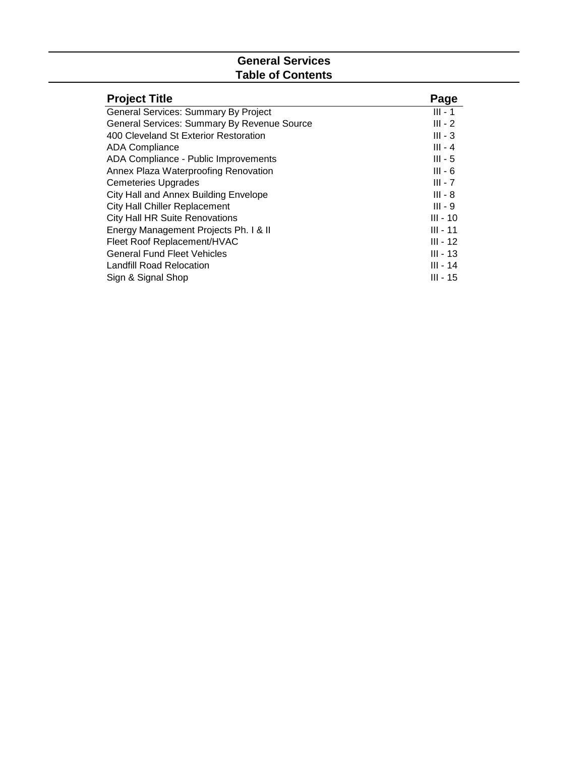# **General Services Table of Contents**

| <b>Project Title</b>                        | Page       |
|---------------------------------------------|------------|
| General Services: Summary By Project        | $III - 1$  |
| General Services: Summary By Revenue Source | $III - 2$  |
| 400 Cleveland St Exterior Restoration       | $III - 3$  |
| <b>ADA Compliance</b>                       | $III - 4$  |
| ADA Compliance - Public Improvements        | $III - 5$  |
| Annex Plaza Waterproofing Renovation        | $III - 6$  |
| <b>Cemeteries Upgrades</b>                  | $III - 7$  |
| City Hall and Annex Building Envelope       | $III - 8$  |
| <b>City Hall Chiller Replacement</b>        | $III - 9$  |
| <b>City Hall HR Suite Renovations</b>       | $III - 10$ |
| Energy Management Projects Ph. I & II       | $III - 11$ |
| Fleet Roof Replacement/HVAC                 | $III - 12$ |
| <b>General Fund Fleet Vehicles</b>          | $III - 13$ |
| Landfill Road Relocation                    | $III - 14$ |
| Sign & Signal Shop                          | III - 15   |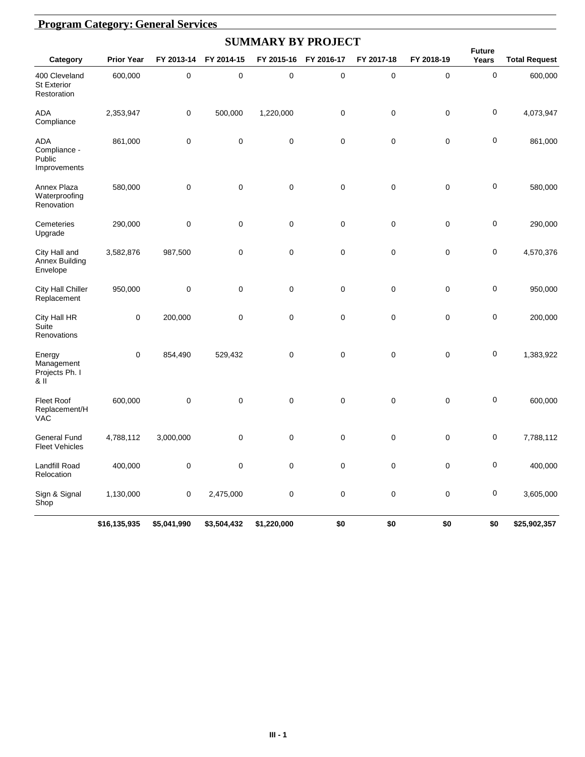|                                                    |                   |             |             | <b>SUMMARY BY PROJECT</b> |             |            |             |                        |                      |
|----------------------------------------------------|-------------------|-------------|-------------|---------------------------|-------------|------------|-------------|------------------------|----------------------|
| Category                                           | <b>Prior Year</b> | FY 2013-14  | FY 2014-15  | FY 2015-16                | FY 2016-17  | FY 2017-18 | FY 2018-19  | <b>Future</b><br>Years | <b>Total Request</b> |
| 400 Cleveland<br><b>St Exterior</b><br>Restoration | 600,000           | 0           | $\pmb{0}$   | $\mathbf 0$               | $\pmb{0}$   | 0          | $\mathbf 0$ | 0                      | 600,000              |
| <b>ADA</b><br>Compliance                           | 2,353,947         | 0           | 500,000     | 1,220,000                 | $\mathbf 0$ | 0          | $\mathbf 0$ | 0                      | 4,073,947            |
| ADA<br>Compliance -<br>Public<br>Improvements      | 861,000           | 0           | $\mathbf 0$ | $\mathbf 0$               | $\mathbf 0$ | 0          | $\mathbf 0$ | 0                      | 861,000              |
| Annex Plaza<br>Waterproofing<br>Renovation         | 580,000           | 0           | $\mathbf 0$ | $\mathbf 0$               | $\mathbf 0$ | 0          | $\mathbf 0$ | $\pmb{0}$              | 580,000              |
| Cemeteries<br>Upgrade                              | 290,000           | 0           | 0           | $\mathbf 0$               | 0           | 0          | $\mathbf 0$ | 0                      | 290,000              |
| City Hall and<br><b>Annex Building</b><br>Envelope | 3,582,876         | 987,500     | $\mathbf 0$ | 0                         | $\mathbf 0$ | 0          | $\mathbf 0$ | 0                      | 4,570,376            |
| City Hall Chiller<br>Replacement                   | 950,000           | 0           | $\mathbf 0$ | $\mathbf 0$               | $\mathbf 0$ | 0          | $\mathbf 0$ | 0                      | 950,000              |
| City Hall HR<br>Suite<br>Renovations               | 0                 | 200,000     | $\mathbf 0$ | $\mathbf 0$               | $\mathbf 0$ | 0          | $\mathbf 0$ | $\pmb{0}$              | 200,000              |
| Energy<br>Management<br>Projects Ph. I<br>& II     | 0                 | 854,490     | 529,432     | $\mathbf 0$               | $\mathbf 0$ | 0          | $\mathbf 0$ | $\pmb{0}$              | 1,383,922            |
| <b>Fleet Roof</b><br>Replacement/H<br>VAC          | 600,000           | 0           | $\mathbf 0$ | $\mathbf 0$               | $\mathbf 0$ | 0          | $\mathbf 0$ | $\pmb{0}$              | 600,000              |
| <b>General Fund</b><br><b>Fleet Vehicles</b>       | 4,788,112         | 3,000,000   | $\mathbf 0$ | $\mathbf 0$               | 0           | 0          | 0           | $\pmb{0}$              | 7,788,112            |
| <b>Landfill Road</b><br>Relocation                 | 400,000           | 0           | $\pmb{0}$   | $\pmb{0}$                 | $\pmb{0}$   | 0          | $\pmb{0}$   | $\pmb{0}$              | 400,000              |
| Sign & Signal<br>Shop                              | 1,130,000         | 0           | 2,475,000   | $\pmb{0}$                 | $\pmb{0}$   | 0          | $\pmb{0}$   | $\pmb{0}$              | 3,605,000            |
|                                                    | \$16,135,935      | \$5,041,990 | \$3,504,432 | \$1,220,000               | \$0         | \$0        | \$0         | \$0                    | \$25,902,357         |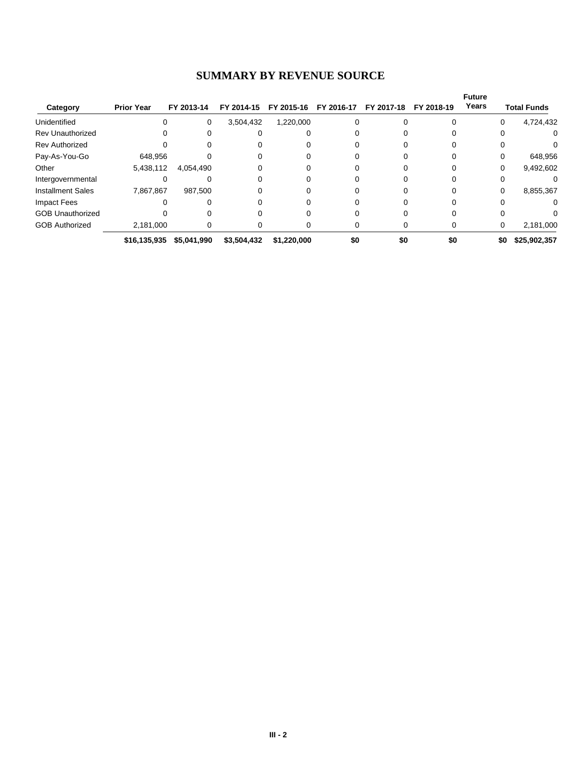# **SUMMARY BY REVENUE SOURCE**

|                          |                   |             |             |             |            |              |            | <b>Future</b> |                     |
|--------------------------|-------------------|-------------|-------------|-------------|------------|--------------|------------|---------------|---------------------|
| Category                 | <b>Prior Year</b> | FY 2013-14  | FY 2014-15  | FY 2015-16  | FY 2016-17 | FY 2017-18   | FY 2018-19 | Years         | <b>Total Funds</b>  |
| Unidentified             | 0                 | 0           | 3,504,432   | 1,220,000   |            | 0            | 0          |               | 4,724,432<br>0      |
| <b>Rev Unauthorized</b>  |                   |             |             |             |            |              |            | 0             | 0                   |
| <b>Rev Authorized</b>    |                   |             |             |             |            |              |            |               |                     |
| Pay-As-You-Go            | 648.956           |             |             |             |            |              |            |               | 648,956<br>0        |
| Other                    | 5,438,112         | 4,054,490   |             |             |            | 0            |            |               | 9,492,602<br>0      |
| Intergovernmental        | 0                 |             |             |             |            |              |            | O             |                     |
| <b>Installment Sales</b> | 7,867,867         | 987,500     |             |             |            |              |            | 0             | 8,855,367           |
| Impact Fees              |                   |             |             |             |            |              |            |               |                     |
| <b>GOB Unauthorized</b>  |                   |             |             |             |            | <sup>0</sup> |            | ∩             | U.                  |
| <b>GOB Authorized</b>    | 2,181,000         |             |             |             |            | 0            | 0          |               | 2,181,000<br>0      |
|                          | \$16,135,935      | \$5,041,990 | \$3,504,432 | \$1,220,000 | \$0        | \$0          | \$0        |               | \$0<br>\$25,902,357 |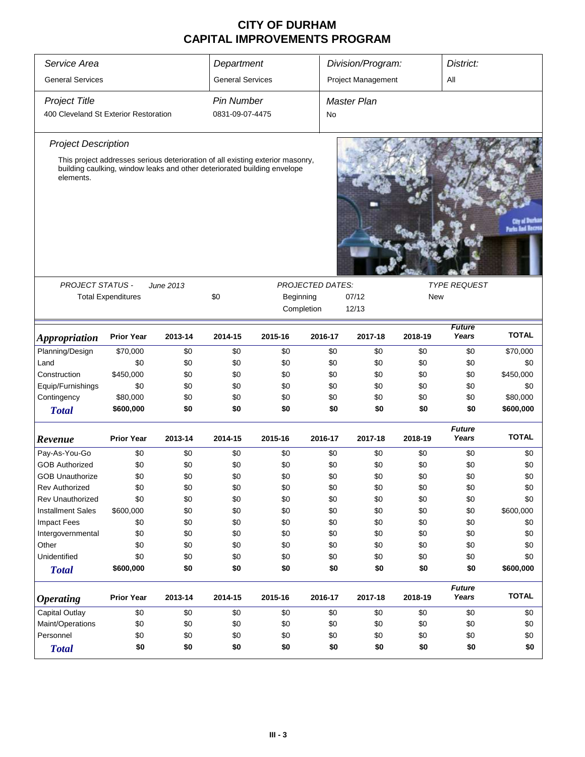| Service Area                          |                                                                                                                                                            |           | Department              |           |                         | Division/Program:   |            | District:              |              |  |  |
|---------------------------------------|------------------------------------------------------------------------------------------------------------------------------------------------------------|-----------|-------------------------|-----------|-------------------------|---------------------|------------|------------------------|--------------|--|--|
| <b>General Services</b>               |                                                                                                                                                            |           | <b>General Services</b> |           |                         | Project Management  |            | All                    |              |  |  |
| <b>Project Title</b>                  |                                                                                                                                                            |           | <b>Pin Number</b>       |           |                         | <b>Master Plan</b>  |            |                        |              |  |  |
| 400 Cleveland St Exterior Restoration |                                                                                                                                                            |           | 0831-09-07-4475         |           | No                      |                     |            |                        |              |  |  |
| <b>Project Description</b>            |                                                                                                                                                            |           |                         |           |                         |                     |            |                        |              |  |  |
| elements.                             | This project addresses serious deterioration of all existing exterior masonry,<br>building caulking, window leaks and other deteriorated building envelope |           |                         |           |                         |                     |            |                        |              |  |  |
| <b>PROJECT STATUS -</b>               |                                                                                                                                                            | June 2013 |                         |           | <b>PROJECTED DATES:</b> | <b>TYPE REQUEST</b> |            |                        |              |  |  |
|                                       | <b>Total Expenditures</b>                                                                                                                                  |           | \$0                     | Beginning |                         | 07/12               | <b>New</b> |                        |              |  |  |
|                                       |                                                                                                                                                            |           |                         |           | Completion              | 12/13               |            |                        |              |  |  |
| <b>Appropriation</b>                  | <b>Prior Year</b>                                                                                                                                          | 2013-14   | 2014-15                 | 2015-16   | 2016-17                 | 2017-18             | 2018-19    | <b>Future</b><br>Years | <b>TOTAL</b> |  |  |
| Planning/Design                       | \$70,000                                                                                                                                                   | \$0       | \$0                     | \$0       | \$0                     | \$0                 | \$0        | \$0                    | \$70,000     |  |  |
| Land                                  | \$0                                                                                                                                                        | \$0       | \$0                     | \$0       | \$0                     | \$0                 | \$0        | \$0                    | \$0          |  |  |
| Construction                          | \$450,000                                                                                                                                                  | \$0       | \$0                     | \$0       | \$0                     | \$0                 | \$0        | \$0                    | \$450,000    |  |  |
| Equip/Furnishings                     | \$0                                                                                                                                                        | \$0       | \$0                     | \$0       | \$0                     | \$0                 | \$0        | \$0                    | \$0          |  |  |
| Contingency                           | \$80,000                                                                                                                                                   | \$0       | \$0                     | \$0       | \$0                     | \$0                 | \$0        | \$0                    | \$80,000     |  |  |
| <b>Total</b>                          | \$600,000                                                                                                                                                  | \$0       | \$0                     | \$0       | \$0                     | \$0                 | \$0        | \$0                    | \$600,000    |  |  |
| Revenue                               | <b>Prior Year</b>                                                                                                                                          | 2013-14   | 2014-15                 | 2015-16   | 2016-17                 | 2017-18             | 2018-19    | <b>Future</b><br>Years | <b>TOTAL</b> |  |  |
| Pay-As-You-Go                         | \$0                                                                                                                                                        | \$0       | \$0                     | \$0       | \$0                     | \$0                 | \$0        | \$0                    | \$0          |  |  |
| <b>GOB Authorized</b>                 | \$0                                                                                                                                                        | \$0       | \$0                     | \$0       | \$0                     | \$0                 | \$0        | \$0                    | \$0          |  |  |
| <b>GOB Unauthorize</b>                | \$0                                                                                                                                                        | \$0       | \$0                     | \$0       | \$0                     | \$0                 | \$0        | \$0                    | \$0          |  |  |
| Rev Authorized                        | \$0                                                                                                                                                        | \$0       | \$0                     | \$0       | \$0                     | \$0                 | \$0        | \$0                    | \$0          |  |  |
| <b>Rev Unauthorized</b>               | \$0                                                                                                                                                        | \$0       | \$0                     | \$0       | \$0                     | \$0                 | \$0        | \$0                    | \$0          |  |  |
| <b>Installment Sales</b>              | \$600,000                                                                                                                                                  | \$0       | \$0                     | \$0       | \$0                     | \$0                 | \$0        | \$0                    | \$600,000    |  |  |
| <b>Impact Fees</b>                    | \$0                                                                                                                                                        | \$0       | \$0                     | \$0       | \$0                     | \$0                 | \$0        | \$0                    | \$0          |  |  |
| Intergovernmental                     | \$0                                                                                                                                                        | \$0       | \$0                     | \$0       | \$0                     | \$0                 | \$0        | \$0                    | \$0          |  |  |
| Other                                 | \$0                                                                                                                                                        | \$0       | \$0                     | \$0       | \$0                     | \$0                 | \$0        | \$0                    | \$0          |  |  |
| Unidentified                          | \$0                                                                                                                                                        | \$0       | \$0                     | \$0       | \$0                     | \$0                 | \$0        | \$0                    | \$0          |  |  |
| <b>Total</b>                          | \$600,000                                                                                                                                                  | \$0       | \$0                     | \$0       | \$0                     | \$0                 | \$0        | \$0                    | \$600,000    |  |  |
| <b>Operating</b>                      | <b>Prior Year</b>                                                                                                                                          | 2013-14   | 2014-15                 | 2015-16   | 2016-17                 | 2017-18             | 2018-19    | <b>Future</b><br>Years | <b>TOTAL</b> |  |  |
| <b>Capital Outlay</b>                 | \$0                                                                                                                                                        | \$0       | \$0                     | \$0       | \$0                     | \$0                 | \$0        | \$0                    | \$0          |  |  |
| Maint/Operations                      | \$0                                                                                                                                                        | \$0       | \$0                     | \$0       | \$0                     | \$0                 | \$0        | \$0                    | \$0          |  |  |
| Personnel                             | \$0                                                                                                                                                        | \$0       | \$0                     | \$0       | \$0                     | \$0                 | \$0        | \$0                    | \$0          |  |  |
| <b>Total</b>                          | \$0                                                                                                                                                        | \$0       | \$0                     | \$0       | \$0                     | \$0                 | \$0        | \$0                    | \$0          |  |  |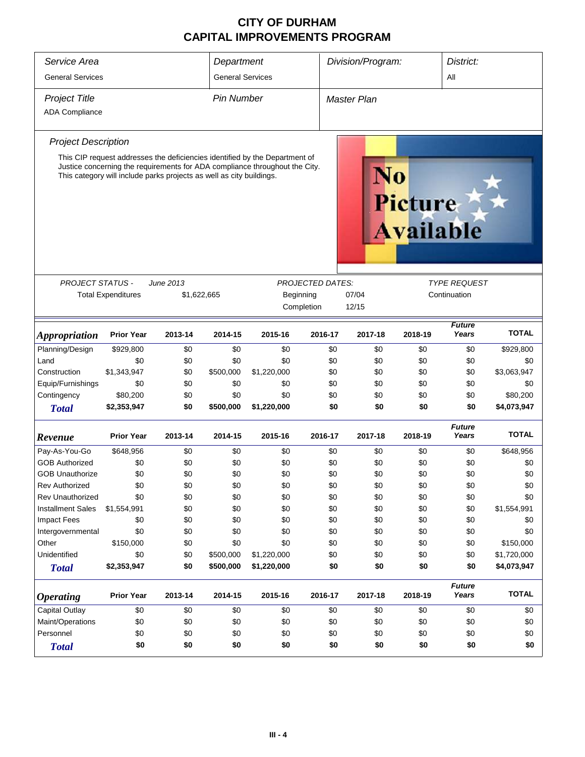| Service Area<br>District:<br>Department<br>Division/Program: |                                                                      |                  |                         |                                                                             |                         |             |         |                                    |                        |              |
|--------------------------------------------------------------|----------------------------------------------------------------------|------------------|-------------------------|-----------------------------------------------------------------------------|-------------------------|-------------|---------|------------------------------------|------------------------|--------------|
| <b>General Services</b>                                      |                                                                      |                  | <b>General Services</b> |                                                                             |                         |             |         |                                    | All                    |              |
| <b>Project Title</b>                                         |                                                                      |                  | <b>Pin Number</b>       |                                                                             |                         | Master Plan |         |                                    |                        |              |
| <b>ADA Compliance</b>                                        |                                                                      |                  |                         |                                                                             |                         |             |         |                                    |                        |              |
| <b>Project Description</b>                                   |                                                                      |                  |                         |                                                                             |                         |             |         |                                    |                        |              |
|                                                              |                                                                      |                  |                         | This CIP request addresses the deficiencies identified by the Department of |                         |             |         |                                    |                        |              |
|                                                              | This category will include parks projects as well as city buildings. |                  |                         | Justice concerning the requirements for ADA compliance throughout the City. |                         |             |         | <b>Picture</b><br><b>Available</b> |                        |              |
|                                                              |                                                                      |                  |                         |                                                                             |                         |             |         |                                    |                        |              |
| <b>PROJECT STATUS -</b>                                      |                                                                      | <b>June 2013</b> |                         |                                                                             | <b>PROJECTED DATES:</b> |             |         |                                    | <b>TYPE REQUEST</b>    |              |
|                                                              | <b>Total Expenditures</b>                                            | \$1,622,665      |                         |                                                                             | Beginning               |             | 07/04   |                                    | Continuation           |              |
|                                                              |                                                                      |                  |                         |                                                                             | Completion              |             | 12/15   |                                    |                        |              |
| <i><b>Appropriation</b></i>                                  | <b>Prior Year</b>                                                    | 2013-14          | 2014-15                 | 2015-16                                                                     | 2016-17                 |             | 2017-18 | 2018-19                            | <b>Future</b><br>Years | <b>TOTAL</b> |
| Planning/Design                                              | \$929,800                                                            | \$0              | \$0                     | \$0                                                                         |                         | \$0         | \$0     | \$0                                | \$0                    | \$929,800    |
| Land                                                         | \$0                                                                  | \$0              | \$0                     | \$0                                                                         |                         | \$0         | \$0     | \$0                                | \$0                    | \$0          |
| Construction                                                 | \$1,343,947                                                          | \$0              | \$500,000               | \$1,220,000                                                                 |                         | \$0         | \$0     | \$0                                | \$0                    | \$3,063,947  |
| Equip/Furnishings                                            | \$0                                                                  | \$0              | \$0                     | \$0                                                                         |                         | \$0         | \$0     | \$0                                | \$0                    | \$0          |
| Contingency                                                  | \$80,200                                                             | \$0              | \$0                     | \$0                                                                         |                         | \$0         | \$0     | \$0                                | \$0                    | \$80,200     |
| <b>Total</b>                                                 | \$2,353,947                                                          | \$0              | \$500,000               | \$1,220,000                                                                 |                         | \$0         | \$0     | \$0                                | \$0                    | \$4,073,947  |
| Revenue                                                      | <b>Prior Year</b>                                                    | 2013-14          | 2014-15                 | 2015-16                                                                     | 2016-17                 |             | 2017-18 | 2018-19                            | <b>Future</b><br>Years | <b>TOTAL</b> |
| Pay-As-You-Go                                                | \$648,956                                                            | \$0              | \$0                     | \$0                                                                         |                         | \$0         | \$0     | \$0                                | \$0                    | \$648,956    |
| <b>GOB Authorized</b>                                        | \$0                                                                  | \$0              | \$0                     | \$0                                                                         |                         | \$0         | \$0     | \$0                                | \$0                    | \$0          |
| <b>GOB Unauthorize</b>                                       | \$0                                                                  | \$0              | \$0                     | \$0                                                                         |                         | \$0         | \$0     | \$0                                | \$0                    | \$0          |
| <b>Rev Authorized</b>                                        | \$0                                                                  | \$0              | \$0                     | \$0                                                                         |                         | \$0         | \$0     | \$0                                | \$0                    | \$0          |
| <b>Rev Unauthorized</b>                                      | \$0                                                                  | \$0              | \$0                     | \$0                                                                         |                         | \$0         | \$0     | \$0                                | \$0                    | \$0          |
| <b>Installment Sales</b>                                     | \$1,554,991                                                          | \$0              | \$0                     | \$0                                                                         |                         | \$0         | \$0     | \$0                                | \$0                    | \$1,554,991  |
| <b>Impact Fees</b>                                           | \$0                                                                  | \$0              | \$0                     | \$0                                                                         |                         | \$0         | \$0     | \$0                                | \$0                    | \$0          |
| Intergovernmental                                            | \$0                                                                  | \$0              | \$0                     | \$0                                                                         |                         | \$0         | \$0     | \$0                                | \$0                    | \$0          |
| Other                                                        | \$150,000                                                            | \$0              | \$0                     | \$0                                                                         |                         | \$0         | \$0     | \$0                                | \$0                    | \$150,000    |
| Unidentified                                                 | \$0                                                                  | \$0              | \$500,000               | \$1,220,000                                                                 |                         | \$0         | \$0     | \$0                                | \$0                    | \$1,720,000  |
| <b>Total</b>                                                 | \$2,353,947                                                          | \$0              | \$500,000               | \$1,220,000                                                                 |                         | \$0         | \$0     | \$0                                | \$0                    | \$4,073,947  |
| <b>Operating</b>                                             | <b>Prior Year</b>                                                    | 2013-14          | 2014-15                 | 2015-16                                                                     | 2016-17                 |             | 2017-18 | 2018-19                            | <b>Future</b><br>Years | <b>TOTAL</b> |
| Capital Outlay                                               | \$0                                                                  | \$0              | \$0                     | \$0                                                                         |                         | \$0         | \$0     | \$0                                | \$0                    | \$0          |
| Maint/Operations                                             | \$0                                                                  | \$0              | \$0                     | \$0                                                                         |                         | \$0         | \$0     | \$0                                | \$0                    | \$0          |
| Personnel                                                    | \$0                                                                  | \$0              | \$0                     | \$0                                                                         |                         | \$0         | \$0     | \$0                                | \$0                    | \$0          |
| <b>Total</b>                                                 | \$0                                                                  | \$0              | \$0                     | \$0                                                                         |                         | \$0         | \$0     | \$0                                | \$0                    | \$0          |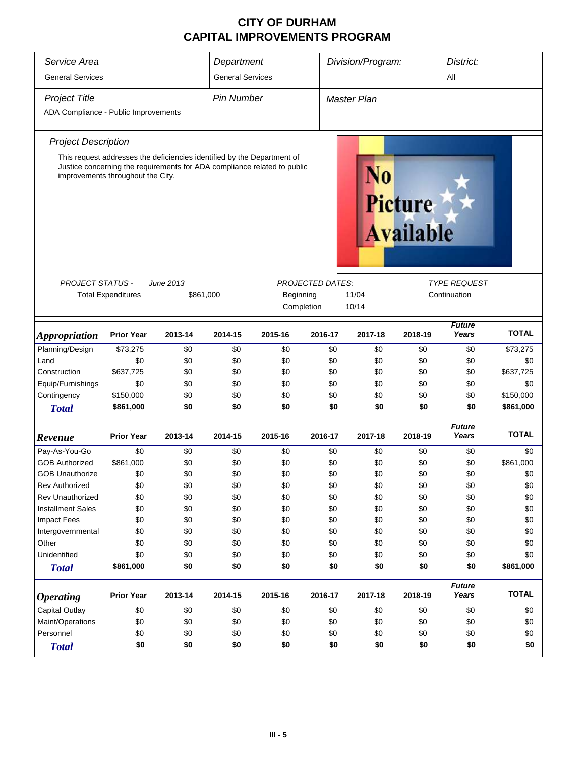| Service Area                         | Department                        |                                                                                                                                                     |                         | Division/Program:<br>District: |                         |                    |                                    |                        |              |
|--------------------------------------|-----------------------------------|-----------------------------------------------------------------------------------------------------------------------------------------------------|-------------------------|--------------------------------|-------------------------|--------------------|------------------------------------|------------------------|--------------|
| <b>General Services</b>              |                                   |                                                                                                                                                     | <b>General Services</b> |                                |                         |                    |                                    | All                    |              |
| <b>Project Title</b>                 |                                   |                                                                                                                                                     | <b>Pin Number</b>       |                                |                         | <b>Master Plan</b> |                                    |                        |              |
| ADA Compliance - Public Improvements |                                   |                                                                                                                                                     |                         |                                |                         |                    |                                    |                        |              |
| <b>Project Description</b>           |                                   |                                                                                                                                                     |                         |                                |                         |                    |                                    |                        |              |
|                                      | improvements throughout the City. | This request addresses the deficiencies identified by the Department of<br>Justice concerning the requirements for ADA compliance related to public |                         |                                |                         | N0                 | <b>Picture</b><br><b>Available</b> |                        |              |
| PROJECT STATUS -                     |                                   | June 2013                                                                                                                                           |                         |                                | <b>PROJECTED DATES:</b> |                    |                                    | <i>TYPE REQUEST</i>    |              |
|                                      | <b>Total Expenditures</b>         | \$861,000                                                                                                                                           |                         | Beginning                      |                         | 11/04              |                                    | Continuation           |              |
|                                      |                                   |                                                                                                                                                     |                         |                                | Completion              | 10/14              |                                    |                        |              |
| <i><b>Appropriation</b></i>          | <b>Prior Year</b>                 | 2013-14                                                                                                                                             | 2014-15                 | 2015-16                        | 2016-17                 | 2017-18            | 2018-19                            | <b>Future</b><br>Years | <b>TOTAL</b> |
| Planning/Design                      | \$73,275                          | \$0                                                                                                                                                 | \$0                     | \$0                            | \$0                     | \$0                | \$0                                | \$0                    | \$73,275     |
| Land                                 | \$0                               | \$0                                                                                                                                                 | \$0                     | \$0                            | \$0                     | \$0                | \$0                                | \$0                    | \$0          |
| Construction                         | \$637,725                         | \$0                                                                                                                                                 | \$0                     | \$0                            | \$0                     | \$0                | \$0                                | \$0                    | \$637,725    |
| Equip/Furnishings                    | \$0                               | \$0                                                                                                                                                 | \$0                     | \$0                            | \$0                     | \$0                | \$0                                | \$0                    | \$0          |
| Contingency                          | \$150,000                         | \$0                                                                                                                                                 | \$0                     | \$0                            | \$0                     | \$0                | \$0                                | \$0                    | \$150,000    |
| <b>Total</b>                         | \$861,000                         | \$0                                                                                                                                                 | \$0                     | \$0                            | \$0                     | \$0                | \$0                                | \$0                    | \$861,000    |
| Revenue                              | <b>Prior Year</b>                 | 2013-14                                                                                                                                             | 2014-15                 | 2015-16                        | 2016-17                 | 2017-18            | 2018-19                            | <b>Future</b><br>Years | <b>TOTAL</b> |
| Pay-As-You-Go                        | \$0                               | \$0                                                                                                                                                 | \$0                     | \$0                            | \$0                     | \$0                | \$0                                | \$0                    | \$0          |
| <b>GOB Authorized</b>                | \$861,000                         | \$0                                                                                                                                                 | \$0                     | \$0                            | \$0                     | \$0                | \$0                                | \$0                    | \$861,000    |
| <b>GOB Unauthorize</b>               | \$0                               | \$0                                                                                                                                                 | \$0                     | \$0                            | \$0                     | \$0                | \$0                                | \$0                    | \$0          |
| <b>Rev Authorized</b>                | \$0                               | \$0                                                                                                                                                 | \$0                     | \$0                            | \$0                     | \$0                | \$0                                | \$0                    | \$0          |
| <b>Rev Unauthorized</b>              | \$0                               | \$0                                                                                                                                                 | \$0                     | \$0                            | \$0                     | \$0                | \$0                                | \$0                    | \$0          |
| <b>Installment Sales</b>             | \$0                               | \$0                                                                                                                                                 | \$0                     | \$0                            | \$0                     | \$0                | \$0                                | \$0                    | \$0          |
| <b>Impact Fees</b>                   | \$0                               | \$0                                                                                                                                                 | \$0                     | \$0                            | \$0                     | \$0                | \$0                                | \$0                    | \$0          |
| Intergovernmental                    | \$0                               | \$0                                                                                                                                                 | \$0                     | \$0                            | \$0                     | \$0                | \$0                                | \$0                    | \$0          |
| Other                                | \$0                               | \$0                                                                                                                                                 | \$0                     | \$0                            | \$0                     | \$0                | \$0                                | \$0                    | \$0          |
| Unidentified                         | \$0                               | \$0                                                                                                                                                 | \$0                     | \$0                            | \$0                     | \$0                | \$0                                | \$0                    | \$0          |
| <b>Total</b>                         | \$861,000                         | \$0                                                                                                                                                 | \$0                     | \$0                            | \$0                     | \$0                | \$0                                | \$0                    | \$861,000    |
| <b>Operating</b>                     | <b>Prior Year</b>                 | 2013-14                                                                                                                                             | 2014-15                 | 2015-16                        | 2016-17                 | 2017-18            | 2018-19                            | <b>Future</b><br>Years | <b>TOTAL</b> |
| Capital Outlay                       | \$0                               | \$0                                                                                                                                                 | \$0                     | \$0                            | \$0                     | \$0                | \$0                                | \$0                    | \$0          |
| Maint/Operations                     | \$0                               | \$0                                                                                                                                                 | \$0                     | \$0                            | \$0                     | \$0                | \$0                                | \$0                    | \$0          |
| Personnel                            | \$0                               | \$0                                                                                                                                                 | \$0                     | \$0                            | \$0                     | \$0                | \$0                                | \$0                    | \$0          |
| <b>Total</b>                         | \$0                               | \$0                                                                                                                                                 | \$0                     | \$0                            | \$0                     | \$0                | \$0                                | \$0                    | \$0          |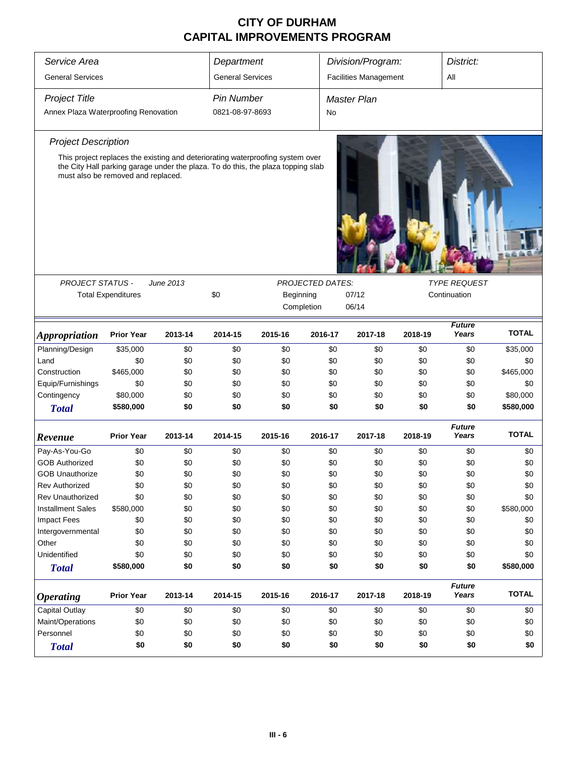| Service Area                         |                                    | Department |                         |                                                                                  | Division/Program:       |                              | District:    |                        |              |  |
|--------------------------------------|------------------------------------|------------|-------------------------|----------------------------------------------------------------------------------|-------------------------|------------------------------|--------------|------------------------|--------------|--|
| <b>General Services</b>              |                                    |            | <b>General Services</b> |                                                                                  |                         | <b>Facilities Management</b> |              | All                    |              |  |
| <b>Project Title</b>                 |                                    |            | <b>Pin Number</b>       |                                                                                  |                         | <b>Master Plan</b>           |              |                        |              |  |
| Annex Plaza Waterproofing Renovation |                                    |            | 0821-08-97-8693         |                                                                                  | No                      |                              |              |                        |              |  |
| <b>Project Description</b>           |                                    |            |                         |                                                                                  |                         |                              |              |                        |              |  |
|                                      |                                    |            |                         | This project replaces the existing and deteriorating waterproofing system over   |                         |                              |              |                        |              |  |
|                                      | must also be removed and replaced. |            |                         | the City Hall parking garage under the plaza. To do this, the plaza topping slab |                         |                              |              |                        |              |  |
| PROJECT STATUS -                     |                                    | June 2013  |                         |                                                                                  | <b>PROJECTED DATES:</b> |                              |              | <b>TYPE REQUEST</b>    |              |  |
|                                      | <b>Total Expenditures</b>          |            | \$0                     | Beginning<br>07/12                                                               |                         |                              | Continuation |                        |              |  |
|                                      |                                    |            |                         | Completion                                                                       |                         | 06/14                        |              |                        |              |  |
| <b>Appropriation</b>                 | <b>Prior Year</b>                  | 2013-14    | 2014-15                 | 2015-16                                                                          | 2016-17                 | 2017-18                      | 2018-19      | <b>Future</b><br>Years | <b>TOTAL</b> |  |
| Planning/Design                      | \$35,000                           | \$0        | \$0                     | \$0                                                                              | \$0                     | \$0                          | \$0          | \$0                    | \$35,000     |  |
| Land                                 | \$0                                | \$0        | \$0                     | \$0                                                                              | \$0                     | \$0                          | \$0          | \$0                    | \$0          |  |
| Construction                         | \$465,000                          | \$0        | \$0                     | \$0                                                                              | \$0                     | \$0                          | \$0          | \$0                    | \$465,000    |  |
| Equip/Furnishings                    | \$0                                | \$0        | \$0                     | \$0                                                                              | \$0                     | \$0                          | \$0          | \$0                    | \$0          |  |
| Contingency                          | \$80,000                           | \$0        | \$0                     | \$0                                                                              | \$0                     | \$0                          | \$0          | \$0                    | \$80,000     |  |
| <b>Total</b>                         | \$580,000                          | \$0        | \$0                     | \$0                                                                              | \$0                     | \$0                          | \$0          | \$0                    | \$580,000    |  |
| Revenue                              | <b>Prior Year</b>                  | 2013-14    | 2014-15                 | 2015-16                                                                          | 2016-17                 | 2017-18                      | 2018-19      | <b>Future</b><br>Years | <b>TOTAL</b> |  |
| Pay-As-You-Go                        | \$0                                | \$0        | \$0                     | \$0                                                                              | \$0                     | \$0                          | \$0          | \$0                    | \$0          |  |
| <b>GOB Authorized</b>                | \$0                                | \$0        | \$0                     | \$0                                                                              | \$0                     | \$0                          | \$0          | \$0                    | \$0          |  |
| <b>GOB Unauthorize</b>               | \$0                                | \$0        | \$0                     | \$0                                                                              | \$0                     | \$0                          | \$0          | \$0                    | \$0          |  |
| <b>Rev Authorized</b>                | \$0                                | \$0        | \$0                     | \$0                                                                              | \$0                     | \$0                          | \$0          | \$0                    | \$0          |  |
| <b>Rev Unauthorized</b>              | \$0                                | \$0        | \$0                     | \$0                                                                              | \$0                     | \$0                          | \$0          | \$0                    | \$0          |  |
| <b>Installment Sales</b>             | \$580,000                          | \$0        | \$0                     | \$0                                                                              | \$0                     | \$0                          | \$0          | \$0                    | \$580,000    |  |
| Impact Fees                          | \$0                                | \$0        | \$0                     | \$0                                                                              | \$0                     | \$0                          | \$0          | \$0                    | \$0          |  |
| Intergovernmental                    | \$0                                | \$0        | \$0                     | \$0                                                                              | \$0                     | \$0                          | \$0          | \$0                    | \$0          |  |
| Other                                | \$0                                | \$0        | \$0                     | \$0                                                                              | \$0                     | \$0                          | \$0          | \$0                    | \$0          |  |
| Unidentified                         | \$0                                | \$0        | \$0                     | \$0                                                                              | \$0                     | \$0                          | \$0          | \$0                    | \$0          |  |
| <b>Total</b>                         | \$580,000                          | \$0        | \$0                     | \$0                                                                              | \$0                     | \$0                          | \$0          | \$0                    | \$580,000    |  |
| <b>Operating</b>                     | <b>Prior Year</b>                  | 2013-14    | 2014-15                 | 2015-16                                                                          | 2016-17                 | 2017-18                      | 2018-19      | <b>Future</b><br>Years | <b>TOTAL</b> |  |
| <b>Capital Outlay</b>                | \$0                                | \$0        | \$0                     | \$0                                                                              | \$0                     | \$0                          | \$0          | \$0                    | \$0          |  |
| Maint/Operations                     | \$0                                | \$0        | \$0                     | \$0                                                                              | \$0                     | \$0                          | \$0          | \$0                    | \$0          |  |
| Personnel                            | \$0                                | \$0        | \$0                     | \$0                                                                              | \$0                     | \$0                          | \$0          | \$0                    | \$0          |  |
| <b>Total</b>                         | \$0                                | \$0        | \$0                     | \$0                                                                              | \$0                     | \$0                          | \$0          | \$0                    | \$0          |  |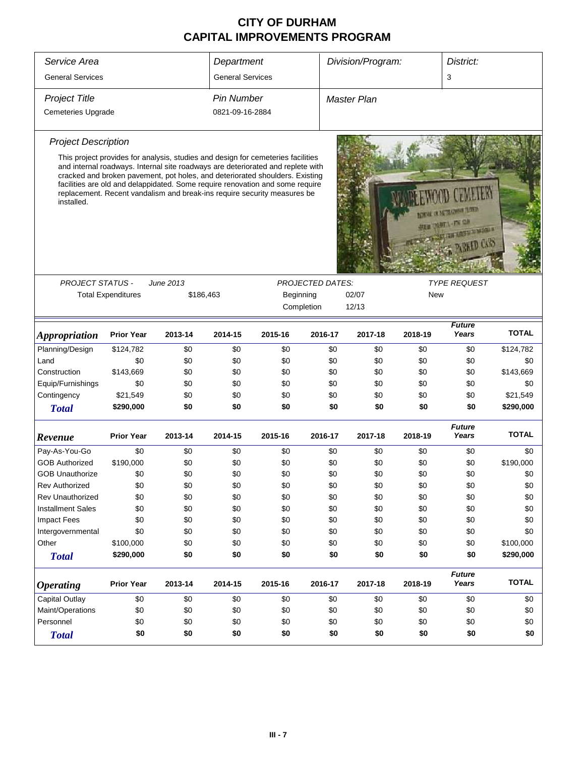| Service Area                |                           |                                                                                                                                                                     |                         |            |                         |                   |         | District:              |              |
|-----------------------------|---------------------------|---------------------------------------------------------------------------------------------------------------------------------------------------------------------|-------------------------|------------|-------------------------|-------------------|---------|------------------------|--------------|
|                             |                           |                                                                                                                                                                     | Department              |            |                         | Division/Program: |         |                        |              |
| <b>General Services</b>     |                           |                                                                                                                                                                     | <b>General Services</b> |            |                         |                   |         | 3                      |              |
| <b>Project Title</b>        |                           |                                                                                                                                                                     | Pin Number              |            |                         | Master Plan       |         |                        |              |
| <b>Cemeteries Upgrade</b>   |                           |                                                                                                                                                                     | 0821-09-16-2884         |            |                         |                   |         |                        |              |
| <b>Project Description</b>  |                           |                                                                                                                                                                     |                         |            |                         |                   |         |                        |              |
|                             |                           | This project provides for analysis, studies and design for cemeteries facilities<br>and internal roadways. Internal site roadways are deteriorated and replete with |                         |            |                         |                   |         |                        |              |
|                             |                           | cracked and broken pavement, pot holes, and deteriorated shoulders. Existing<br>facilities are old and delappidated. Some require renovation and some require       |                         |            |                         |                   |         |                        |              |
|                             |                           | replacement. Recent vandalism and break-ins require security measures be                                                                                            |                         |            |                         |                   |         |                        |              |
| installed.                  |                           |                                                                                                                                                                     |                         |            |                         |                   |         | THE R RETURNS THE      |              |
|                             |                           |                                                                                                                                                                     |                         |            |                         |                   |         | <b>MATTER OF</b>       |              |
|                             |                           |                                                                                                                                                                     |                         |            |                         |                   |         | <b>LEWALE PARTIES</b>  |              |
|                             |                           |                                                                                                                                                                     |                         |            |                         |                   |         |                        |              |
|                             |                           |                                                                                                                                                                     |                         |            |                         |                   |         |                        |              |
| <b>PROJECT STATUS -</b>     |                           | June 2013                                                                                                                                                           |                         |            | <b>PROJECTED DATES:</b> |                   |         | <b>TYPE REQUEST</b>    |              |
|                             | <b>Total Expenditures</b> | \$186,463                                                                                                                                                           |                         | Beginning  |                         | 02/07             | New     |                        |              |
|                             |                           |                                                                                                                                                                     |                         | Completion |                         | 12/13             |         |                        |              |
| <i><b>Appropriation</b></i> | <b>Prior Year</b>         | 2013-14                                                                                                                                                             | 2014-15                 | 2015-16    | 2016-17                 | 2017-18           | 2018-19 | <b>Future</b><br>Years | <b>TOTAL</b> |
| Planning/Design             | \$124,782                 | \$0                                                                                                                                                                 | \$0                     | \$0        | \$0                     | \$0               | \$0     | \$0                    | \$124,782    |
| Land                        | \$0                       | \$0                                                                                                                                                                 | \$0                     | \$0        | \$0                     | \$0               | \$0     | \$0                    | \$0          |
| Construction                | \$143,669                 | \$0                                                                                                                                                                 | \$0                     | \$0        | \$0                     | \$0               | \$0     | \$0                    | \$143,669    |
| Equip/Furnishings           | \$0                       | \$0                                                                                                                                                                 | \$0                     | \$0        | \$0                     | \$0               | \$0     | \$0                    | \$0          |
| Contingency                 | \$21,549                  | \$0                                                                                                                                                                 | \$0                     | \$0        | \$0                     | \$0               | \$0     | \$0                    | \$21,549     |
| <b>Total</b>                | \$290,000                 | \$0                                                                                                                                                                 | \$0                     | \$0        | \$0                     | \$0               | \$0     | \$0                    | \$290,000    |
|                             |                           |                                                                                                                                                                     |                         |            |                         |                   |         | <b>Future</b>          |              |
| Revenue                     | <b>Prior Year</b>         | 2013-14                                                                                                                                                             | 2014-15                 | 2015-16    | 2016-17                 | 2017-18           | 2018-19 | Years                  | <b>TOTAL</b> |
| Pay-As-You-Go               | \$0                       | \$0                                                                                                                                                                 | \$0                     | \$0        | \$0                     | \$0               | \$0     | \$0                    | \$0          |
| <b>GOB Authorized</b>       | \$190,000                 | \$0                                                                                                                                                                 | \$0                     | \$0        | \$0                     | \$0               | \$0     | \$0                    | \$190,000    |
| <b>GOB Unauthorize</b>      | \$0                       | \$0                                                                                                                                                                 | \$0                     | \$0        | \$0                     | \$0               | \$0     | \$0                    | \$0          |
| Rev Authorized              | \$0                       | \$0                                                                                                                                                                 | \$0                     | \$0        | \$0                     | \$0               | \$0     | \$0                    | \$0          |
| <b>Rev Unauthorized</b>     | \$0                       | \$0                                                                                                                                                                 | \$0                     | \$0        | \$0                     | \$0               | \$0     | \$0                    | \$0          |
| <b>Installment Sales</b>    | \$0                       | \$0                                                                                                                                                                 | \$0                     | \$0        | \$0                     | \$0               | \$0     | \$0                    | \$0          |
| <b>Impact Fees</b>          | \$0                       | \$0                                                                                                                                                                 | \$0                     | \$0        | \$0                     | \$0               | \$0     | \$0                    | \$0          |
| Intergovernmental           | \$0                       | \$0                                                                                                                                                                 | \$0                     | \$0        | \$0                     | \$0               | \$0     | \$0                    | \$0          |
| Other                       | \$100,000                 | \$0                                                                                                                                                                 | \$0                     | \$0        | \$0                     | \$0               | \$0     | \$0                    | \$100,000    |
| <b>Total</b>                | \$290,000                 | \$0                                                                                                                                                                 | \$0                     | \$0        | \$0                     | \$0               | \$0     | \$0                    | \$290,000    |
|                             |                           |                                                                                                                                                                     |                         |            |                         |                   |         | <b>Future</b>          |              |
| <b>Operating</b>            | <b>Prior Year</b>         | 2013-14                                                                                                                                                             | 2014-15                 | 2015-16    | 2016-17                 | 2017-18           | 2018-19 | Years                  | <b>TOTAL</b> |
| <b>Capital Outlay</b>       | \$0                       | \$0                                                                                                                                                                 | \$0                     | \$0        | \$0                     | \$0               | \$0     | \$0                    | \$0          |
| Maint/Operations            | \$0                       | \$0                                                                                                                                                                 | \$0                     | \$0        | \$0                     | \$0               | \$0     | \$0                    | \$0          |
| Personnel                   | \$0                       | \$0                                                                                                                                                                 | \$0                     | \$0        | \$0                     | \$0               | \$0     | \$0                    | \$0          |
| <b>Total</b>                | \$0                       | \$0                                                                                                                                                                 | \$0                     | \$0        | \$0                     | \$0               | \$0     | \$0                    | \$0          |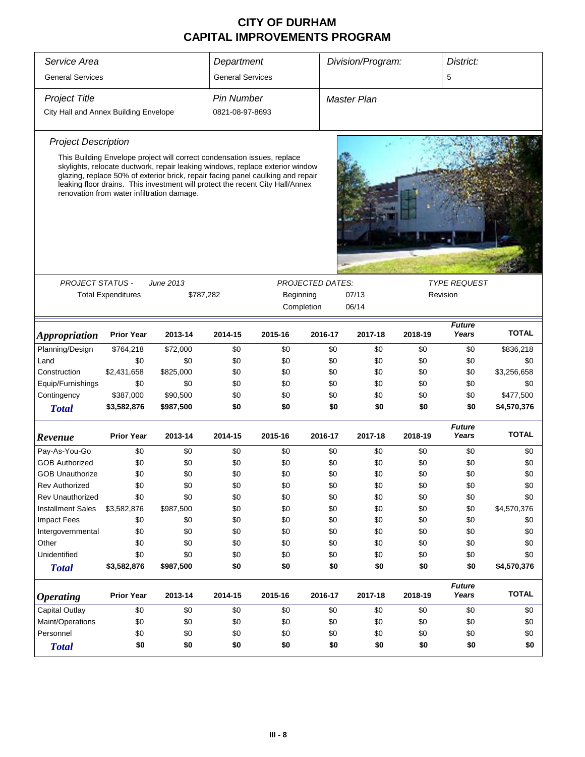| Service Area                          |                                                                                                                        |           | Department              |                                                                                                                                                                                                                                                   | Division/Program: |                                         |         | District:              |              |  |  |
|---------------------------------------|------------------------------------------------------------------------------------------------------------------------|-----------|-------------------------|---------------------------------------------------------------------------------------------------------------------------------------------------------------------------------------------------------------------------------------------------|-------------------|-----------------------------------------|---------|------------------------|--------------|--|--|
| <b>General Services</b>               |                                                                                                                        |           | <b>General Services</b> |                                                                                                                                                                                                                                                   |                   |                                         |         | 5                      |              |  |  |
| Project Title                         |                                                                                                                        |           | <b>Pin Number</b>       |                                                                                                                                                                                                                                                   |                   | <b>Master Plan</b>                      |         |                        |              |  |  |
| City Hall and Annex Building Envelope |                                                                                                                        |           | 0821-08-97-8693         |                                                                                                                                                                                                                                                   |                   |                                         |         |                        |              |  |  |
|                                       |                                                                                                                        |           |                         |                                                                                                                                                                                                                                                   |                   |                                         |         |                        |              |  |  |
| <b>Project Description</b>            |                                                                                                                        |           |                         |                                                                                                                                                                                                                                                   |                   |                                         |         |                        |              |  |  |
|                                       | This Building Envelope project will correct condensation issues, replace<br>renovation from water infiltration damage. |           |                         | skylights, relocate ductwork, repair leaking windows, replace exterior window<br>glazing, replace 50% of exterior brick, repair facing panel caulking and repair<br>leaking floor drains. This investment will protect the recent City Hall/Annex |                   |                                         |         |                        |              |  |  |
|                                       |                                                                                                                        |           |                         |                                                                                                                                                                                                                                                   |                   |                                         |         |                        |              |  |  |
| <b>PROJECT STATUS -</b>               |                                                                                                                        | June 2013 |                         |                                                                                                                                                                                                                                                   |                   | PROJECTED DATES:<br><b>TYPE REQUEST</b> |         |                        |              |  |  |
|                                       | <b>Total Expenditures</b>                                                                                              |           | \$787,282               | Beginning                                                                                                                                                                                                                                         |                   | 07/13                                   |         | Revision               |              |  |  |
|                                       |                                                                                                                        |           |                         | Completion                                                                                                                                                                                                                                        |                   | 06/14                                   |         |                        |              |  |  |
| <b>Appropriation</b>                  | <b>Prior Year</b>                                                                                                      | 2013-14   | 2014-15                 | 2015-16                                                                                                                                                                                                                                           | 2016-17           | 2017-18                                 | 2018-19 | <b>Future</b><br>Years | <b>TOTAL</b> |  |  |
| Planning/Design                       | \$764,218                                                                                                              | \$72,000  | \$0                     | \$0                                                                                                                                                                                                                                               | \$0               | \$0                                     | \$0     | \$0                    | \$836,218    |  |  |
| Land                                  | \$0                                                                                                                    | \$0       | \$0                     | \$0                                                                                                                                                                                                                                               | \$0               | \$0                                     | \$0     | \$0                    | \$0          |  |  |
| Construction                          | \$2,431,658                                                                                                            | \$825,000 | \$0                     | \$0                                                                                                                                                                                                                                               | \$0               | \$0                                     | \$0     | \$0                    | \$3,256,658  |  |  |
| Equip/Furnishings                     | \$0                                                                                                                    | \$0       | \$0                     | \$0                                                                                                                                                                                                                                               | \$0               | \$0                                     | \$0     | \$0                    | \$0          |  |  |
| Contingency                           | \$387,000                                                                                                              | \$90,500  | \$0                     | \$0                                                                                                                                                                                                                                               | \$0               | \$0                                     | \$0     | \$0                    | \$477,500    |  |  |
| <b>Total</b>                          | \$3,582,876                                                                                                            | \$987,500 | \$0                     | \$0                                                                                                                                                                                                                                               | \$0               | \$0                                     | \$0     | \$0                    | \$4,570,376  |  |  |
| Revenue                               | <b>Prior Year</b>                                                                                                      | 2013-14   | 2014-15                 | 2015-16                                                                                                                                                                                                                                           | 2016-17           | 2017-18                                 | 2018-19 | <b>Future</b><br>Years | <b>TOTAL</b> |  |  |
| Pay-As-You-Go                         | \$0                                                                                                                    | \$0       | \$0                     | \$0                                                                                                                                                                                                                                               | \$0               | \$0                                     | \$0     | \$0                    | \$0          |  |  |
| <b>GOB Authorized</b>                 | \$0                                                                                                                    | \$0       | \$0                     | \$0                                                                                                                                                                                                                                               | \$0               | \$0                                     | \$0     | \$0                    | \$0          |  |  |
| <b>GOB Unauthorize</b>                | \$0                                                                                                                    | \$0       | \$0                     | \$0                                                                                                                                                                                                                                               | \$0               | \$0                                     | \$0     | \$0                    | \$0          |  |  |
| Rev Authorized                        | \$0                                                                                                                    | \$0       | \$0                     | \$0                                                                                                                                                                                                                                               | \$0               | \$0                                     | \$0     | \$0                    | \$0          |  |  |
| <b>Rev Unauthorized</b>               | \$0                                                                                                                    | \$0       | \$0                     | \$0                                                                                                                                                                                                                                               | \$0               | \$0                                     | \$0     | \$0                    | \$0          |  |  |
| <b>Installment Sales</b>              | \$3,582,876                                                                                                            | \$987,500 | \$0                     | \$0                                                                                                                                                                                                                                               | \$0               | \$0                                     | \$0     | \$0                    | \$4,570,376  |  |  |
| Impact Fees                           | \$0                                                                                                                    | \$0       | \$0                     | \$0                                                                                                                                                                                                                                               | \$0               | \$0                                     | \$0     | \$0                    | \$0          |  |  |
| Intergovernmental                     | \$0                                                                                                                    | \$0       | \$0                     | \$0                                                                                                                                                                                                                                               | \$0               | \$0                                     | \$0     | \$0                    | \$0          |  |  |
| Other                                 | \$0                                                                                                                    | \$0       | \$0                     | \$0                                                                                                                                                                                                                                               | \$0               | \$0                                     | \$0     | \$0                    | \$0          |  |  |
| Unidentified                          | \$0                                                                                                                    | \$0       | \$0                     | \$0                                                                                                                                                                                                                                               | \$0               | \$0                                     | \$0     | \$0                    | \$0          |  |  |
| <b>Total</b>                          | \$3,582,876                                                                                                            | \$987,500 | \$0                     | \$0                                                                                                                                                                                                                                               | \$0               | \$0                                     | \$0     | \$0                    | \$4,570,376  |  |  |
| <b>Operating</b>                      | <b>Prior Year</b>                                                                                                      | 2013-14   | 2014-15                 | 2015-16                                                                                                                                                                                                                                           | 2016-17           | 2017-18                                 | 2018-19 | <b>Future</b><br>Years | <b>TOTAL</b> |  |  |
| Capital Outlay                        | \$0                                                                                                                    | \$0       | \$0                     | \$0                                                                                                                                                                                                                                               | \$0               | \$0                                     | \$0     | \$0                    | \$0          |  |  |
| Maint/Operations                      | \$0                                                                                                                    | \$0       | \$0                     | \$0                                                                                                                                                                                                                                               | \$0               | \$0                                     | \$0     | \$0                    | \$0          |  |  |
| Personnel                             | \$0                                                                                                                    | \$0       | \$0                     | \$0                                                                                                                                                                                                                                               | \$0               | \$0                                     | \$0     | \$0                    | \$0          |  |  |
| <b>Total</b>                          | \$0                                                                                                                    | \$0       | \$0                     | \$0                                                                                                                                                                                                                                               | \$0               | \$0                                     | \$0     | \$0                    | \$0          |  |  |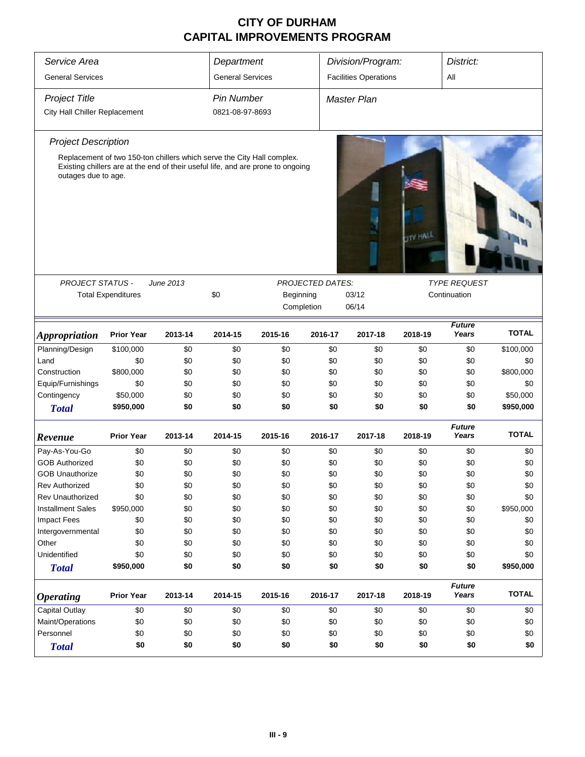| Service Area                  |                                                                                 |           | Department              |           |                         | Division/Program:            |                 | District:              |              |
|-------------------------------|---------------------------------------------------------------------------------|-----------|-------------------------|-----------|-------------------------|------------------------------|-----------------|------------------------|--------------|
| <b>General Services</b>       |                                                                                 |           | <b>General Services</b> |           |                         | <b>Facilities Operations</b> |                 | All                    |              |
| <b>Project Title</b>          |                                                                                 |           | <b>Pin Number</b>       |           |                         | <b>Master Plan</b>           |                 |                        |              |
| City Hall Chiller Replacement |                                                                                 |           | 0821-08-97-8693         |           |                         |                              |                 |                        |              |
| <b>Project Description</b>    |                                                                                 |           |                         |           |                         |                              |                 |                        |              |
|                               | Replacement of two 150-ton chillers which serve the City Hall complex.          |           |                         |           |                         |                              |                 |                        |              |
| outages due to age.           | Existing chillers are at the end of their useful life, and are prone to ongoing |           |                         |           |                         |                              | <b>TTY HALL</b> |                        |              |
| <b>PROJECT STATUS -</b>       |                                                                                 | June 2013 |                         |           | <b>PROJECTED DATES:</b> |                              |                 | <b>TYPE REQUEST</b>    |              |
|                               | <b>Total Expenditures</b>                                                       |           | \$0                     | Beginning |                         | 03/12                        |                 | Continuation           |              |
|                               |                                                                                 |           |                         |           | Completion              | 06/14                        |                 |                        |              |
| <b>Appropriation</b>          | <b>Prior Year</b>                                                               | 2013-14   | 2014-15                 | 2015-16   | 2016-17                 | 2017-18                      | 2018-19         | <b>Future</b><br>Years | <b>TOTAL</b> |
| Planning/Design               | \$100,000                                                                       | \$0       | \$0                     | \$0       | \$0                     | \$0                          | \$0             | \$0                    | \$100,000    |
| Land                          | \$0                                                                             | \$0       | \$0                     | \$0       | \$0                     | \$0                          | \$0             | \$0                    | \$0          |
| Construction                  | \$800,000                                                                       | \$0       | \$0                     | \$0       | \$0                     | \$0                          | \$0             | \$0                    | \$800,000    |
| Equip/Furnishings             | \$0                                                                             | \$0       | \$0                     | \$0       | \$0                     | \$0                          | \$0             | \$0                    | \$0          |
| Contingency                   | \$50,000                                                                        | \$0       | \$0                     | \$0       | \$0                     | \$0                          | \$0             | \$0                    | \$50,000     |
| <b>Total</b>                  | \$950,000                                                                       | \$0       | \$0                     | \$0       | \$0                     | \$0                          | \$0             | \$0                    | \$950,000    |
| Revenue                       | <b>Prior Year</b>                                                               | 2013-14   | 2014-15                 | 2015-16   | 2016-17                 | 2017-18                      | 2018-19         | <b>Future</b><br>Years | <b>TOTAL</b> |
| Pay-As-You-Go                 | \$0                                                                             | \$0       | \$0                     | \$0       | \$0                     | \$0                          | \$0             | \$0                    | \$0          |
| <b>GOB Authorized</b>         | \$0                                                                             | \$0       | \$0                     | \$0       | \$0                     | \$0                          | \$0             | \$0                    | \$0          |
| <b>GOB Unauthorize</b>        | \$0                                                                             | \$0       | \$0                     | \$0       | \$0                     | \$0                          | \$0             | \$0                    | \$0          |
| Rev Authorized                | \$0                                                                             | \$0       | \$0                     | \$0       | \$0                     | \$0                          | \$0             | \$0                    | \$0          |
| Rev Unauthorized              | \$0                                                                             | \$0       | \$0                     | \$0       | \$0                     | \$0                          | \$0             | \$0                    | \$0          |
| <b>Installment Sales</b>      | \$950,000                                                                       | \$0       | \$0                     | \$0       | \$0                     | \$0                          | \$0             | \$0                    | \$950,000    |
| <b>Impact Fees</b>            | \$0                                                                             | \$0       | \$0                     | \$0       | \$0                     | \$0                          | \$0             | \$0                    | \$0          |
| Intergovernmental             | \$0                                                                             | \$0       | \$0                     | \$0       | \$0                     | \$0                          | \$0             | \$0                    | \$0          |
| Other                         | \$0                                                                             | \$0       | \$0                     | \$0       | \$0                     | \$0                          | \$0             | \$0                    | \$0          |
| Unidentified                  | \$0                                                                             | \$0       | \$0                     | \$0       | \$0                     | \$0                          | \$0             | \$0                    | \$0          |
| <b>Total</b>                  | \$950,000                                                                       | \$0       | \$0                     | \$0       | \$0                     | \$0                          | \$0             | \$0                    | \$950,000    |
| <i><b>Operating</b></i>       | <b>Prior Year</b>                                                               | 2013-14   | 2014-15                 | 2015-16   | 2016-17                 | 2017-18                      | 2018-19         | <b>Future</b><br>Years | <b>TOTAL</b> |
| Capital Outlay                | \$0                                                                             | \$0       | \$0                     | \$0       | \$0                     | \$0                          | \$0             | \$0                    | \$0          |
| Maint/Operations              | \$0                                                                             | \$0       | \$0                     | \$0       | \$0                     | \$0                          | \$0             | \$0                    | \$0          |
| Personnel                     | \$0                                                                             | \$0       | \$0                     | \$0       | \$0                     | \$0                          | \$0             | \$0                    | \$0          |
| <b>Total</b>                  | \$0                                                                             | \$0       | \$0                     | \$0       | \$0                     | \$0                          | \$0             | \$0                    | \$0          |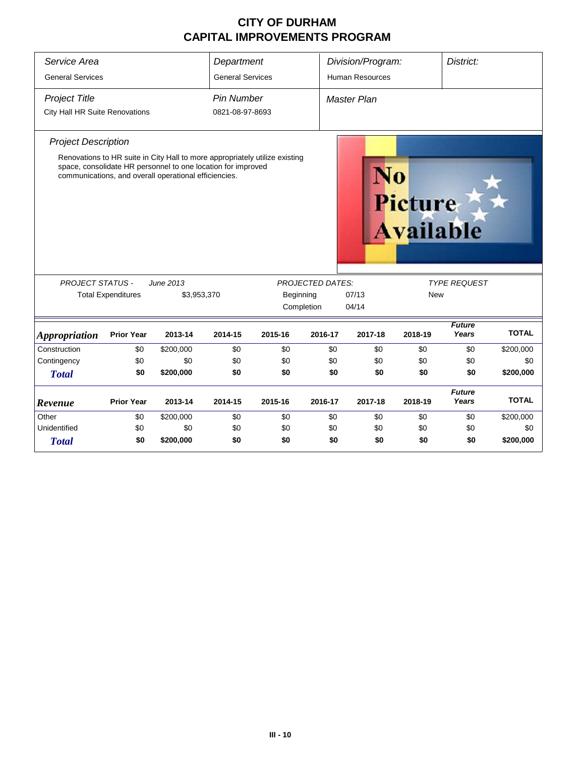| Service Area                   |                           |                                                                                                                                                                                                      | Department              |           |                         | Division/Program:      |                                    | District:              |              |  |  |
|--------------------------------|---------------------------|------------------------------------------------------------------------------------------------------------------------------------------------------------------------------------------------------|-------------------------|-----------|-------------------------|------------------------|------------------------------------|------------------------|--------------|--|--|
| <b>General Services</b>        |                           |                                                                                                                                                                                                      | <b>General Services</b> |           |                         | <b>Human Resources</b> |                                    |                        |              |  |  |
| <b>Project Title</b>           |                           |                                                                                                                                                                                                      | <b>Pin Number</b>       |           |                         | <b>Master Plan</b>     |                                    |                        |              |  |  |
| City Hall HR Suite Renovations |                           |                                                                                                                                                                                                      | 0821-08-97-8693         |           |                         |                        |                                    |                        |              |  |  |
| <b>Project Description</b>     |                           |                                                                                                                                                                                                      |                         |           |                         |                        |                                    |                        |              |  |  |
|                                |                           | Renovations to HR suite in City Hall to more appropriately utilize existing<br>space, consolidate HR personnel to one location for improved<br>communications, and overall operational efficiencies. |                         |           |                         |                        | <b>Picture</b><br><b>Available</b> |                        |              |  |  |
| <b>PROJECT STATUS -</b>        |                           | June 2013                                                                                                                                                                                            |                         |           | <b>PROJECTED DATES:</b> |                        |                                    | <b>TYPE REQUEST</b>    |              |  |  |
|                                | <b>Total Expenditures</b> | \$3,953,370                                                                                                                                                                                          |                         | Beginning |                         | 07/13                  | New                                |                        |              |  |  |
|                                |                           |                                                                                                                                                                                                      |                         |           | Completion              | 04/14                  |                                    |                        |              |  |  |
| <i><b>Appropriation</b></i>    | <b>Prior Year</b>         | 2013-14                                                                                                                                                                                              | 2014-15                 | 2015-16   | 2016-17                 | 2017-18                | 2018-19                            | <b>Future</b><br>Years | <b>TOTAL</b> |  |  |
| Construction                   | \$0                       | \$200,000                                                                                                                                                                                            | \$0                     | \$0       | \$0                     | \$0                    | \$0                                | \$0                    | \$200,000    |  |  |
| Contingency                    | \$0                       | \$0                                                                                                                                                                                                  | \$0                     | \$0       | \$0                     | \$0                    | \$0                                | \$0                    | \$0          |  |  |
| <b>Total</b>                   | \$0                       | \$200,000                                                                                                                                                                                            | \$0                     | \$0       | \$0                     | \$0                    | \$0                                | \$0                    | \$200,000    |  |  |
| Revenue                        | <b>Prior Year</b>         | 2013-14                                                                                                                                                                                              | 2014-15                 | 2015-16   | 2016-17                 | 2017-18                | 2018-19                            | <b>Future</b><br>Years | <b>TOTAL</b> |  |  |
| Other                          | \$0                       | \$200,000                                                                                                                                                                                            | \$0                     | \$0       | \$0                     | \$0                    | \$0                                | \$0                    | \$200,000    |  |  |
| Unidentified                   | \$0                       | \$0                                                                                                                                                                                                  | \$0                     | \$0       | \$0                     | \$0                    | \$0                                | \$0                    | \$0          |  |  |
| <b>Total</b>                   | \$0                       | \$200,000                                                                                                                                                                                            | \$0                     | \$0       | \$0                     | \$0                    | \$0                                | \$0                    | \$200,000    |  |  |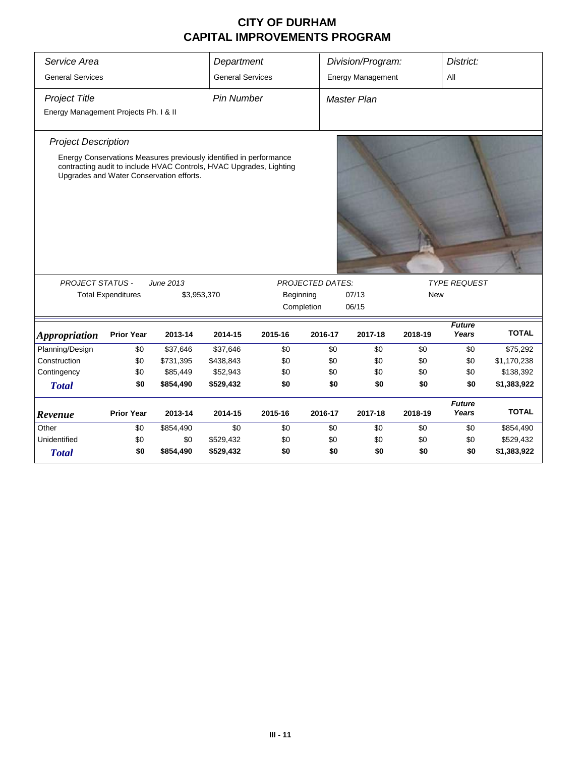| Service Area                          |                                                                                                                                                                                       |             | Department              |           |                         | Division/Program:        |            | District:              |              |  |
|---------------------------------------|---------------------------------------------------------------------------------------------------------------------------------------------------------------------------------------|-------------|-------------------------|-----------|-------------------------|--------------------------|------------|------------------------|--------------|--|
| <b>General Services</b>               |                                                                                                                                                                                       |             | <b>General Services</b> |           |                         | <b>Energy Management</b> |            | All                    |              |  |
| <b>Project Title</b>                  |                                                                                                                                                                                       |             | <b>Pin Number</b>       |           |                         | <b>Master Plan</b>       |            |                        |              |  |
| Energy Management Projects Ph. I & II |                                                                                                                                                                                       |             |                         |           |                         |                          |            |                        |              |  |
| <b>Project Description</b>            |                                                                                                                                                                                       |             |                         |           |                         |                          |            |                        |              |  |
|                                       | Energy Conservations Measures previously identified in performance<br>contracting audit to include HVAC Controls, HVAC Upgrades, Lighting<br>Upgrades and Water Conservation efforts. |             |                         |           |                         |                          |            |                        |              |  |
| <b>PROJECT STATUS -</b>               |                                                                                                                                                                                       | June 2013   |                         |           | <b>PROJECTED DATES:</b> |                          |            | <b>TYPE REQUEST</b>    |              |  |
|                                       | <b>Total Expenditures</b>                                                                                                                                                             | \$3,953,370 |                         | Beginning |                         | 07/13                    | <b>New</b> |                        |              |  |
|                                       |                                                                                                                                                                                       |             |                         |           | Completion              | 06/15                    |            |                        |              |  |
| <b>Appropriation</b>                  | <b>Prior Year</b>                                                                                                                                                                     | 2013-14     | 2014-15                 | 2015-16   | 2016-17                 | 2017-18                  | 2018-19    | <b>Future</b><br>Years | <b>TOTAL</b> |  |
| Planning/Design                       | \$0                                                                                                                                                                                   | \$37,646    | \$37,646                | \$0       | \$0                     | \$0                      | \$0        | \$0                    | \$75,292     |  |
| Construction                          | \$0                                                                                                                                                                                   | \$731,395   | \$438,843               | \$0       | \$0                     | \$0                      | \$0        | \$0                    | \$1,170,238  |  |
| Contingency                           | \$0                                                                                                                                                                                   | \$85,449    | \$52,943                | \$0       | \$0                     | \$0                      | \$0        | \$0                    | \$138,392    |  |
| <b>Total</b>                          | \$0                                                                                                                                                                                   | \$854,490   | \$529,432               | \$0       | \$0                     | \$0                      | \$0        | \$0                    | \$1,383,922  |  |
| Revenue                               | <b>Prior Year</b>                                                                                                                                                                     | 2013-14     | 2014-15                 | 2015-16   | 2016-17                 | 2017-18                  | 2018-19    | <b>Future</b><br>Years | <b>TOTAL</b> |  |
| Other                                 | \$0                                                                                                                                                                                   | \$854,490   | \$0                     | \$0       | \$0                     | \$0                      | \$0        | \$0                    | \$854,490    |  |
| Unidentified                          | \$0                                                                                                                                                                                   | \$0         | \$529,432               | \$0       | \$0                     | \$0                      | \$0        | \$0                    | \$529,432    |  |
| <b>Total</b>                          | \$0                                                                                                                                                                                   | \$854,490   | \$529,432               | \$0       |                         | \$0                      | \$0        |                        |              |  |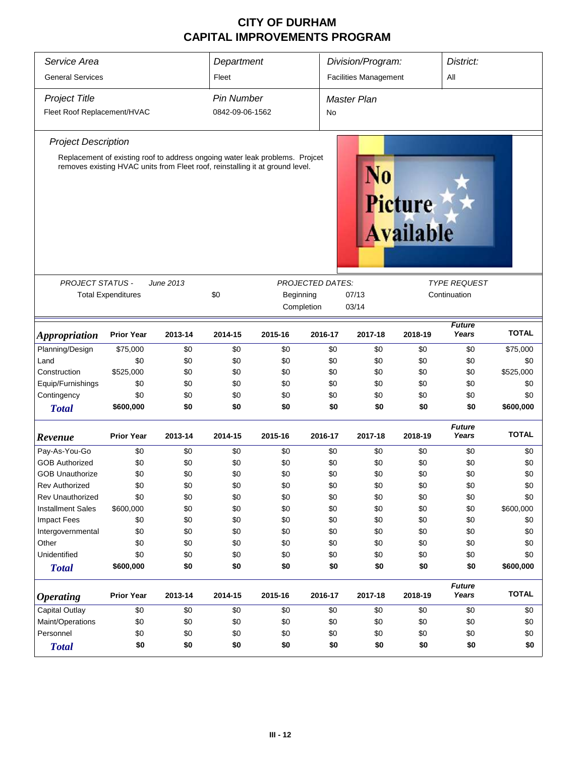| Service Area                                               |                   |         | Department                                         |                                                                                                                                                               |         | Division/Program:            |                             | District:                           |              |
|------------------------------------------------------------|-------------------|---------|----------------------------------------------------|---------------------------------------------------------------------------------------------------------------------------------------------------------------|---------|------------------------------|-----------------------------|-------------------------------------|--------------|
| <b>General Services</b>                                    |                   |         | Fleet                                              |                                                                                                                                                               |         | <b>Facilities Management</b> |                             | All                                 |              |
| <b>Project Title</b>                                       | <b>Pin Number</b> |         |                                                    | <b>Master Plan</b>                                                                                                                                            |         |                              |                             |                                     |              |
| Fleet Roof Replacement/HVAC                                | 0842-09-06-1562   |         | No                                                 |                                                                                                                                                               |         |                              |                             |                                     |              |
| <b>Project Description</b>                                 |                   |         |                                                    |                                                                                                                                                               |         |                              |                             |                                     |              |
|                                                            |                   |         |                                                    | Replacement of existing roof to address ongoing water leak problems. Projcet<br>removes existing HVAC units from Fleet roof, reinstalling it at ground level. |         | N0                           | Picture<br><b>Available</b> |                                     |              |
| PROJECT STATUS -<br>June 2013<br><b>Total Expenditures</b> |                   |         | PROJECTED DATES:<br>\$0<br>Beginning<br>Completion |                                                                                                                                                               |         | 07/13<br>03/14               |                             | <b>TYPE REQUEST</b><br>Continuation |              |
| <b>Appropriation</b>                                       | <b>Prior Year</b> | 2013-14 | 2014-15                                            | 2015-16                                                                                                                                                       | 2016-17 | 2017-18                      | 2018-19                     | <b>Future</b><br>Years              | <b>TOTAL</b> |
| Planning/Design                                            | \$75,000          | \$0     | \$0                                                | \$0                                                                                                                                                           | \$0     | \$0                          | \$0                         | \$0                                 | \$75,000     |
| Land                                                       | \$0               | \$0     | \$0                                                | \$0                                                                                                                                                           | \$0     | \$0                          | \$0                         | \$0                                 | \$0          |
| Construction                                               | \$525,000         | \$0     | \$0                                                | \$0                                                                                                                                                           | \$0     | \$0                          | \$0                         | \$0                                 | \$525,000    |
| Equip/Furnishings                                          | \$0               | \$0     | \$0                                                | \$0                                                                                                                                                           | \$0     | \$0                          | \$0                         | \$0                                 | \$0          |
| Contingency                                                | \$0               | \$0     | \$0                                                | \$0                                                                                                                                                           | \$0     | \$0                          | \$0                         | \$0                                 | \$0          |
| <b>Total</b>                                               | \$600,000         | \$0     | \$0                                                | \$0                                                                                                                                                           | \$0     | \$0                          | \$0                         | \$0                                 | \$600,000    |
| Revenue                                                    | <b>Prior Year</b> | 2013-14 | 2014-15                                            | 2015-16                                                                                                                                                       | 2016-17 | 2017-18                      | 2018-19                     | <b>Future</b><br>Years              | <b>TOTAL</b> |
| Pay-As-You-Go                                              | \$0               | \$0     | \$0                                                | \$0                                                                                                                                                           | \$0     | \$0                          | \$0                         | \$0                                 | \$0          |
| <b>GOB Authorized</b>                                      | \$0               | \$0     | \$0                                                | \$0                                                                                                                                                           | \$0     | \$0                          | \$0                         | \$0                                 | \$0          |
| <b>GOB Unauthorize</b>                                     | \$0               | \$0     | \$0                                                | \$0                                                                                                                                                           | \$0     | \$0                          | \$0                         | \$0                                 | \$0          |
| <b>Rev Authorized</b>                                      | \$0               | \$0     | \$0                                                | \$0                                                                                                                                                           | \$0     | \$0                          | \$0                         | \$0                                 | \$0          |
| <b>Rev Unauthorized</b>                                    | \$0               | \$0     | \$0                                                | \$0                                                                                                                                                           | \$0     | \$0                          | \$0                         | \$0                                 | \$0          |
| <b>Installment Sales</b>                                   | \$600,000         | \$0     | \$0                                                | \$0                                                                                                                                                           | \$0     | \$0                          | \$0                         | \$0                                 | \$600,000    |
| <b>Impact Fees</b>                                         | \$0               | \$0     | \$0                                                | \$0                                                                                                                                                           | \$0     | \$0                          | \$0                         | \$0                                 | \$0          |
| Intergovernmental                                          | \$0               | \$0     | \$0                                                | \$0                                                                                                                                                           | \$0     | \$0                          | \$0                         | \$0                                 | \$0          |
| Other                                                      | \$0               | \$0     | \$0                                                | \$0                                                                                                                                                           | \$0     | \$0                          | \$0                         | \$0                                 | \$0          |
| Unidentified                                               | \$0               | \$0     | \$0                                                | \$0                                                                                                                                                           | \$0     | \$0                          | \$0                         | \$0                                 | \$0          |
| <b>Total</b>                                               | \$600,000         | \$0     | \$0                                                | \$0                                                                                                                                                           | \$0     | \$0                          | \$0                         | \$0                                 | \$600,000    |
| <b>Operating</b>                                           | <b>Prior Year</b> | 2013-14 | 2014-15                                            | 2015-16                                                                                                                                                       | 2016-17 | 2017-18                      | 2018-19                     | <b>Future</b><br>Years              | <b>TOTAL</b> |
| Capital Outlay                                             | \$0               | \$0     | \$0                                                | \$0                                                                                                                                                           | \$0     | \$0                          | \$0                         | \$0                                 | \$0          |
| Maint/Operations                                           | \$0               | \$0     | \$0                                                | \$0                                                                                                                                                           | \$0     | \$0                          | \$0                         | \$0                                 | \$0          |
| Personnel                                                  | \$0               | \$0     | \$0                                                | \$0                                                                                                                                                           | \$0     | \$0                          | \$0                         | \$0                                 | \$0          |
| <b>Total</b>                                               | \$0               | \$0     | \$0                                                | \$0                                                                                                                                                           | \$0     | \$0                          | \$0                         | \$0                                 | \$0          |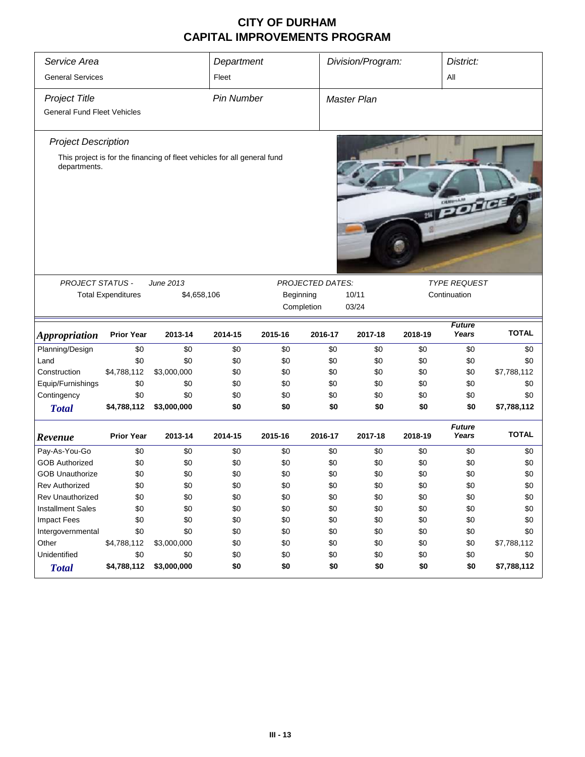| Service Area                       |                   |                                                                          | Department |                       |                         | Division/Program:  |         |                        | District:    |  |
|------------------------------------|-------------------|--------------------------------------------------------------------------|------------|-----------------------|-------------------------|--------------------|---------|------------------------|--------------|--|
| <b>General Services</b>            | Fleet             |                                                                          |            |                       |                         | All                |         |                        |              |  |
| <b>Project Title</b>               |                   |                                                                          |            | <b>Pin Number</b>     |                         | <b>Master Plan</b> |         |                        |              |  |
| <b>General Fund Fleet Vehicles</b> |                   |                                                                          |            |                       |                         |                    |         |                        |              |  |
|                                    |                   |                                                                          |            |                       |                         |                    |         |                        |              |  |
| <b>Project Description</b>         |                   |                                                                          |            |                       |                         |                    |         |                        |              |  |
| departments.                       |                   | This project is for the financing of fleet vehicles for all general fund |            |                       |                         |                    |         | <b>WEDDRES</b>         |              |  |
| <b>PROJECT STATUS -</b>            |                   | June 2013                                                                |            |                       | <b>PROJECTED DATES:</b> |                    |         | <b>TYPE REQUEST</b>    |              |  |
| <b>Total Expenditures</b>          | \$4,658,106       | Beginning                                                                |            | Continuation<br>10/11 |                         |                    |         |                        |              |  |
|                                    |                   |                                                                          | Completion | 03/24                 |                         |                    |         |                        |              |  |
|                                    |                   |                                                                          |            |                       |                         |                    |         |                        |              |  |
|                                    |                   |                                                                          |            |                       |                         |                    |         |                        |              |  |
| <i><b>Appropriation</b></i>        | <b>Prior Year</b> | 2013-14                                                                  | 2014-15    | 2015-16               | 2016-17                 | 2017-18            | 2018-19 | <b>Future</b><br>Years | <b>TOTAL</b> |  |
| Planning/Design                    | \$0               | \$0                                                                      | \$0        | \$0                   | \$0                     | \$0                | \$0     | \$0                    | \$0          |  |
| Land                               | \$0               | \$0                                                                      | \$0        | \$0                   | \$0                     | \$0                | \$0     | \$0                    | \$0          |  |
| Construction                       | \$4,788,112       | \$3,000,000                                                              | \$0        | \$0                   | \$0                     | \$0                | \$0     | \$0                    | \$7,788,112  |  |
| Equip/Furnishings                  | \$0               | \$0                                                                      | \$0        | \$0                   | \$0                     | \$0                | \$0     | \$0                    | \$0          |  |
| Contingency                        | \$0               | \$0                                                                      | \$0        | \$0                   | \$0                     | \$0                | \$0     | \$0                    | \$0          |  |
| <b>Total</b>                       | \$4,788,112       | \$3,000,000                                                              | \$0        | \$0                   | \$0                     | \$0                | \$0     | \$0                    | \$7,788,112  |  |
| Revenue                            | <b>Prior Year</b> | 2013-14                                                                  | 2014-15    | 2015-16               | 2016-17                 | 2017-18            | 2018-19 | <b>Future</b><br>Years | <b>TOTAL</b> |  |
| Pay-As-You-Go                      | \$0               | \$0                                                                      | \$0        | \$0                   | \$0                     | \$0                | \$0     | \$0                    | \$0          |  |
| <b>GOB Authorized</b>              | \$0               | \$0                                                                      | \$0        | \$0                   | \$0                     | \$0                | \$0     | \$0                    | \$0          |  |
| <b>GOB Unauthorize</b>             | \$0               | \$0                                                                      |            | \$0                   | \$0                     | \$0                | \$0     | \$0                    | \$0          |  |
| Rev Authorized                     | \$0               | \$0                                                                      | \$0<br>\$0 | \$0                   | \$0                     | \$0                | \$0     | \$0                    | \$0          |  |
| Rev Unauthorized                   | \$0               | \$0                                                                      | \$0        | \$0                   | \$0                     | \$0                | \$0     | \$0                    | \$0          |  |
| <b>Installment Sales</b>           | \$0               | \$0                                                                      | \$0        | \$0                   | \$0                     | \$0                | \$0     | \$0                    | \$0          |  |
| Impact Fees                        | \$0               | \$0                                                                      | \$0        | \$0                   | \$0                     | \$0                | \$0     | \$0                    | \$0          |  |
| Intergovernmental                  | \$0               | \$0                                                                      | \$0        | \$0                   | \$0                     | \$0                | \$0     | \$0                    | \$0          |  |
| Other                              | \$4,788,112       |                                                                          | \$0        | \$0                   | \$0                     | \$0                | \$0     | \$0                    | \$7,788,112  |  |
| Unidentified                       | \$0               | \$3,000,000<br>\$0                                                       | \$0        | \$0                   | \$0                     | \$0                | \$0     | \$0                    | \$0          |  |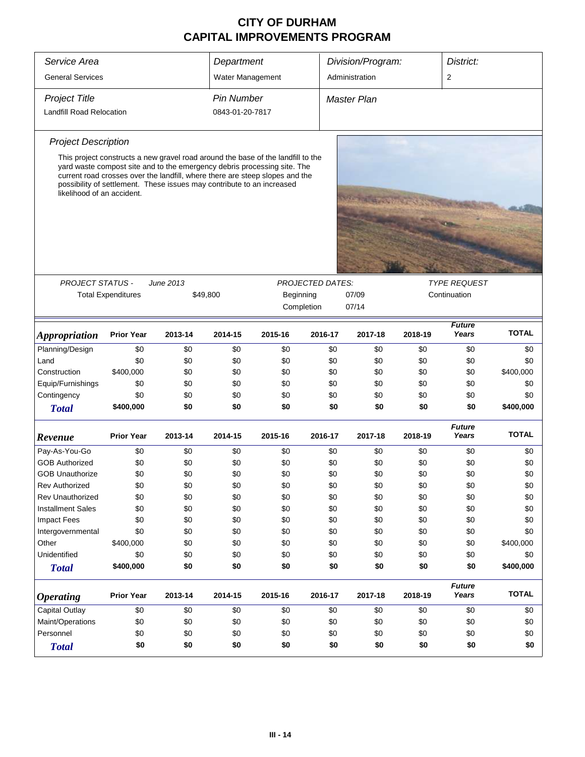| Service Area               | Department                                                                                                                                                                                                                                                                                                             |           |                 | Division/Program: |                         | District: |         |                        |              |  |
|----------------------------|------------------------------------------------------------------------------------------------------------------------------------------------------------------------------------------------------------------------------------------------------------------------------------------------------------------------|-----------|-----------------|-------------------|-------------------------|-----------|---------|------------------------|--------------|--|
| <b>General Services</b>    | Water Management                                                                                                                                                                                                                                                                                                       |           |                 | Administration    |                         | 2         |         |                        |              |  |
| <b>Project Title</b>       | <b>Pin Number</b>                                                                                                                                                                                                                                                                                                      |           |                 | Master Plan       |                         |           |         |                        |              |  |
| Landfill Road Relocation   |                                                                                                                                                                                                                                                                                                                        |           | 0843-01-20-7817 |                   |                         |           |         |                        |              |  |
| <b>Project Description</b> |                                                                                                                                                                                                                                                                                                                        |           |                 |                   |                         |           |         |                        |              |  |
| likelihood of an accident. | This project constructs a new gravel road around the base of the landfill to the<br>yard waste compost site and to the emergency debris processing site. The<br>current road crosses over the landfill, where there are steep slopes and the<br>possibility of settlement. These issues may contribute to an increased |           |                 |                   |                         |           |         |                        |              |  |
|                            |                                                                                                                                                                                                                                                                                                                        |           |                 |                   |                         |           |         |                        |              |  |
| <b>PROJECT STATUS -</b>    |                                                                                                                                                                                                                                                                                                                        | June 2013 |                 |                   | <b>PROJECTED DATES:</b> |           |         | <b>TYPE REQUEST</b>    |              |  |
|                            | <b>Total Expenditures</b>                                                                                                                                                                                                                                                                                              |           | \$49,800        | Beginning         |                         | 07/09     |         | Continuation           |              |  |
|                            |                                                                                                                                                                                                                                                                                                                        |           |                 |                   | Completion              | 07/14     |         |                        |              |  |
|                            |                                                                                                                                                                                                                                                                                                                        |           |                 |                   |                         |           |         | <b>Future</b>          |              |  |
| <b>Appropriation</b>       | <b>Prior Year</b>                                                                                                                                                                                                                                                                                                      | 2013-14   | 2014-15         | 2015-16           | 2016-17                 | 2017-18   | 2018-19 | Years                  | <b>TOTAL</b> |  |
| Planning/Design            | \$0                                                                                                                                                                                                                                                                                                                    | \$0       | \$0             | \$0               | \$0                     | \$0       | \$0     | \$0                    | \$0          |  |
| Land                       | \$0                                                                                                                                                                                                                                                                                                                    | \$0       | \$0             | \$0               | \$0                     | \$0       | \$0     | \$0                    | \$0          |  |
| Construction               | \$400,000                                                                                                                                                                                                                                                                                                              | \$0       | \$0             | \$0               | \$0                     | \$0       | \$0     | \$0                    | \$400,000    |  |
| Equip/Furnishings          | \$0                                                                                                                                                                                                                                                                                                                    | \$0       | \$0             | \$0               | \$0                     | \$0       | \$0     | \$0                    | \$0          |  |
| Contingency                | \$0                                                                                                                                                                                                                                                                                                                    | \$0       | \$0             | \$0               | \$0                     | \$0       | \$0     | \$0                    | \$0          |  |
| <b>Total</b>               | \$400,000                                                                                                                                                                                                                                                                                                              | \$0       | \$0             | \$0               | \$0                     | \$0       | \$0     | \$0                    | \$400,000    |  |
| Revenue                    | <b>Prior Year</b>                                                                                                                                                                                                                                                                                                      | 2013-14   | 2014-15         | 2015-16           | 2016-17                 | 2017-18   | 2018-19 | <b>Future</b><br>Years | <b>TOTAL</b> |  |
| Pay-As-You-Go              | \$0                                                                                                                                                                                                                                                                                                                    | \$0       | \$0             | \$0               | \$0                     | \$0       | \$0     | \$0                    | \$0          |  |
| <b>GOB Authorized</b>      | \$0                                                                                                                                                                                                                                                                                                                    | \$0       | \$0             | \$0               | \$0                     | \$0       | \$0     | \$0                    | \$0          |  |
| <b>GOB Unauthorize</b>     | \$0                                                                                                                                                                                                                                                                                                                    | \$0       | \$0             | \$0               | \$0                     | \$0       | \$0     | \$0                    | \$0          |  |
| <b>Rev Authorized</b>      | \$0                                                                                                                                                                                                                                                                                                                    | \$0       | \$0             | \$0               | \$0                     | \$0       | \$0     | \$0                    | \$0          |  |
| <b>Rev Unauthorized</b>    | \$0                                                                                                                                                                                                                                                                                                                    | \$0       | \$0             | \$0               | \$0                     | \$0       | \$0     | \$0                    | \$0          |  |
| <b>Installment Sales</b>   | \$0                                                                                                                                                                                                                                                                                                                    | \$0       | \$0             | \$0               | \$0                     | \$0       | \$0     | \$0                    | \$0          |  |
| <b>Impact Fees</b>         | \$0                                                                                                                                                                                                                                                                                                                    | \$0       | \$0             | \$0               | \$0                     | \$0       | \$0     | \$0                    | \$0          |  |
| Intergovernmental          | \$0                                                                                                                                                                                                                                                                                                                    | \$0       | \$0             | \$0               | \$0                     | \$0       | \$0     | \$0                    | \$0          |  |
| Other                      | \$400,000                                                                                                                                                                                                                                                                                                              | \$0       | \$0             | \$0               | \$0                     | \$0       | \$0     | \$0                    | \$400,000    |  |
| Unidentified               | \$0                                                                                                                                                                                                                                                                                                                    | \$0       | \$0             | \$0               | \$0                     | \$0       | \$0     | \$0                    | \$0          |  |
| <b>Total</b>               | \$400,000                                                                                                                                                                                                                                                                                                              | \$0       | \$0             | \$0               | \$0                     | \$0       | \$0     | \$0                    | \$400,000    |  |
| <b>Operating</b>           | <b>Prior Year</b><br>2013-14<br>2014-15                                                                                                                                                                                                                                                                                |           |                 | 2015-16           | 2016-17                 | 2017-18   | 2018-19 | <b>Future</b><br>Years | <b>TOTAL</b> |  |
| Capital Outlay             | \$0                                                                                                                                                                                                                                                                                                                    | \$0       | \$0             | \$0               | \$0                     | \$0       | \$0     | \$0                    | \$0          |  |
| Maint/Operations           | \$0                                                                                                                                                                                                                                                                                                                    | \$0       | \$0             | \$0               | \$0                     | \$0       | \$0     | \$0                    | \$0          |  |
| Personnel                  | \$0                                                                                                                                                                                                                                                                                                                    | \$0       | \$0             | \$0               | \$0                     | \$0       | \$0     | \$0                    | \$0          |  |
| <b>Total</b>               | \$0                                                                                                                                                                                                                                                                                                                    | \$0       | \$0             | \$0               | \$0                     | \$0       | \$0     | \$0                    | \$0          |  |